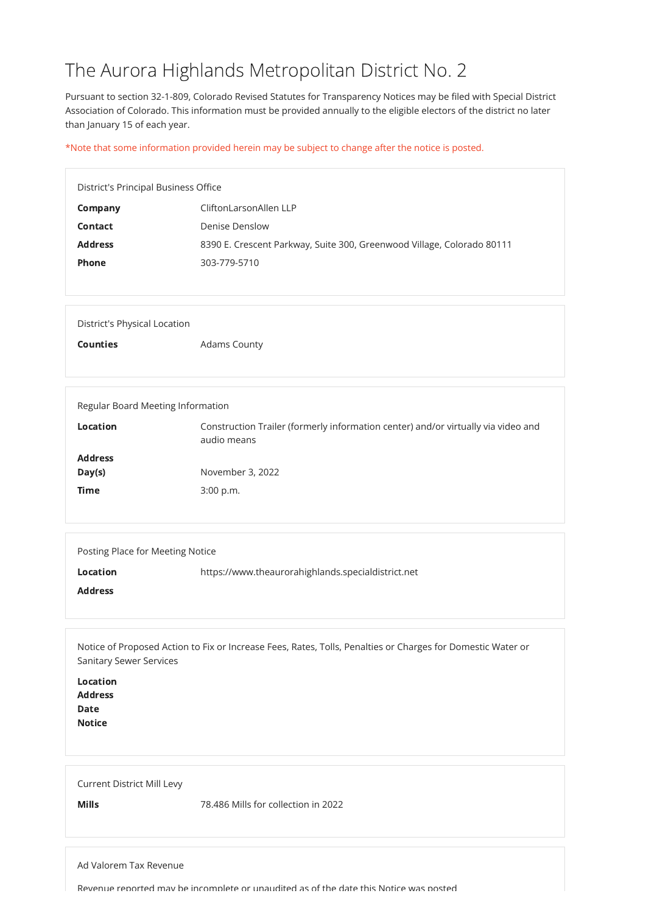## The Aurora Highlands Metropolitan District No. 2

Pursuant to section 32-1-809, Colorado Revised Statutes for Transparency Notices may be filed with Special District Association of Colorado. This information must be provided annually to the eligible electors of the district no later than January 15 of each year.

\*Note that some information provided herein may be subject to change after the notice is posted.

| <b>Address</b><br><b>Date</b><br><b>Notice</b>    |                                     |
|---------------------------------------------------|-------------------------------------|
| <b>Current District Mill Levy</b><br><b>Mills</b> | 78.486 Mills for collection in 2022 |

|                                     | District's Principal Business Office                                                             |  |
|-------------------------------------|--------------------------------------------------------------------------------------------------|--|
| <b>Company</b>                      | CliftonLarsonAllen LLP                                                                           |  |
| <b>Contact</b>                      | <b>Denise Denslow</b>                                                                            |  |
| <b>Address</b>                      | 8390 E. Crescent Parkway, Suite 300, Greenwood Village, Colorado 80111                           |  |
| <b>Phone</b>                        | 303-779-5710                                                                                     |  |
|                                     |                                                                                                  |  |
|                                     |                                                                                                  |  |
| <b>District's Physical Location</b> |                                                                                                  |  |
| <b>Counties</b>                     | <b>Adams County</b>                                                                              |  |
|                                     |                                                                                                  |  |
|                                     |                                                                                                  |  |
|                                     | Regular Board Meeting Information                                                                |  |
| <b>Location</b>                     |                                                                                                  |  |
|                                     | Construction Trailer (formerly information center) and/or virtually via video and<br>audio means |  |
| <b>Address</b>                      |                                                                                                  |  |
| Day(s)                              | November 3, 2022                                                                                 |  |

| Time | 3:00 p.m. |
|------|-----------|
|      |           |

| Posting Place for Meeting Notice |                                                    |
|----------------------------------|----------------------------------------------------|
| <b>Location</b>                  | https://www.theaurorahighlands.specialdistrict.net |
| <b>Address</b>                   |                                                    |
|                                  |                                                    |

Notice of Proposed Action to Fix or Increase Fees, Rates, Tolls, Penalties or Charges for Domestic Water or Sanitary Sewer Services

Location

Ad Valorem Tax Revenue

Revenue reported may be incomplete or unaudited as of the date this Notice was posted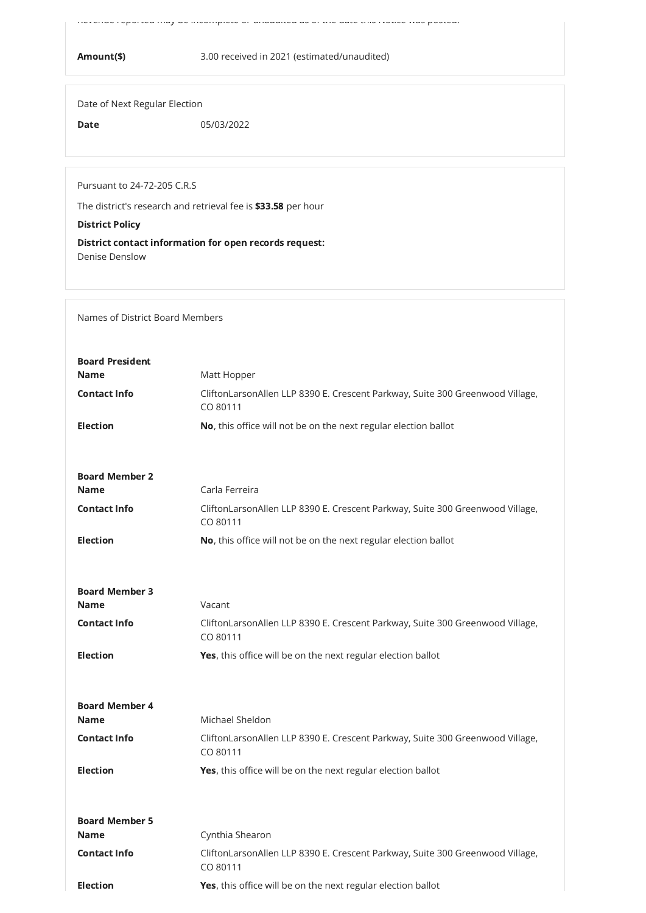Revenue reported may be incomplete or unaudited as of the date this Notice was posted.

Amount(\$) 3.00 received in 2021 (estimated/unaudited)

Date of Next Regular Election

**Date** 05/03/2022

Pursuant to 24-72-205 C.R.S

The district's research and retrieval fee is \$33.58 per hour

District Policy

District contact information for open records request: Denise Denslow

Names of District Board Members

| <b>Board President</b> |                                                                                           |
|------------------------|-------------------------------------------------------------------------------------------|
| <b>Name</b>            | Matt Hopper                                                                               |
| <b>Contact Info</b>    | CliftonLarsonAllen LLP 8390 E. Crescent Parkway, Suite 300 Greenwood Village,<br>CO 80111 |
| <b>Election</b>        | No, this office will not be on the next regular election ballot                           |
|                        |                                                                                           |
| <b>Board Member 2</b>  |                                                                                           |
| <b>Name</b>            | Carla Ferreira                                                                            |
| <b>Contact Info</b>    | CliftonLarsonAllen LLP 8390 E. Crescent Parkway, Suite 300 Greenwood Village,<br>CO 80111 |
| <b>Election</b>        | No, this office will not be on the next regular election ballot                           |
|                        |                                                                                           |
| <b>Board Member 3</b>  |                                                                                           |
| <b>Name</b>            | Vacant                                                                                    |
| <b>Contact Info</b>    | CliftonLarsonAllen LLP 8390 E. Crescent Parkway, Suite 300 Greenwood Village,<br>CO 80111 |
| <b>Election</b>        | Yes, this office will be on the next regular election ballot                              |

| <b>Board Member 4</b> |                                                                                           |
|-----------------------|-------------------------------------------------------------------------------------------|
| <b>Name</b>           | Michael Sheldon                                                                           |
| <b>Contact Info</b>   | CliftonLarsonAllen LLP 8390 E. Crescent Parkway, Suite 300 Greenwood Village,<br>CO 80111 |
| <b>Election</b>       | <b>Yes,</b> this office will be on the next regular election ballot                       |
| <b>Board Member 5</b> |                                                                                           |
| <b>Name</b>           | Cynthia Shearon                                                                           |
| <b>Contact Info</b>   | CliftonLarsonAllen LLP 8390 E. Crescent Parkway, Suite 300 Greenwood Village,<br>CO 80111 |
| <b>Election</b>       | <b>Yes,</b> this office will be on the next regular election ballot                       |